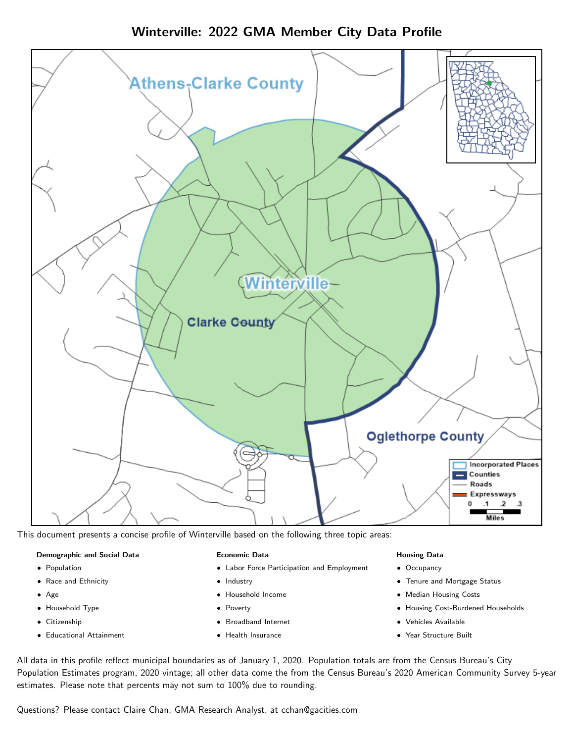Winterville: 2022 GMA Member City Data Profile



This document presents a concise profile of Winterville based on the following three topic areas:

#### Demographic and Social Data

- **•** Population
- Race and Ethnicity
- Age
- Household Type
- **Citizenship**
- Educational Attainment

#### Economic Data

- Labor Force Participation and Employment
- Industry
- Household Income
- Poverty
- Broadband Internet
- Health Insurance

### Housing Data

- Occupancy
- Tenure and Mortgage Status
- Median Housing Costs
- Housing Cost-Burdened Households
- Vehicles Available
- Year Structure Built

All data in this profile reflect municipal boundaries as of January 1, 2020. Population totals are from the Census Bureau's City Population Estimates program, 2020 vintage; all other data come the from the Census Bureau's 2020 American Community Survey 5-year estimates. Please note that percents may not sum to 100% due to rounding.

Questions? Please contact Claire Chan, GMA Research Analyst, at [cchan@gacities.com.](mailto:cchan@gacities.com)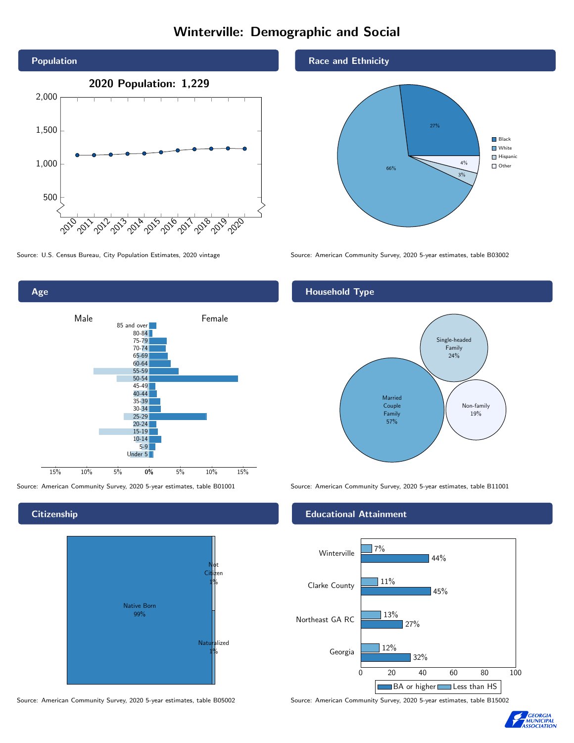# Winterville: Demographic and Social



Age 0% 5% 10% 15% Male **Female** 15% 10% 5% 85 and over 80-84 75-79 70-74 65-69 60-64 55-59 50-54 45-49 40-44 35-39 30-34 25-29  $20 - 24$ 15-19 10-14 5-9 Under 5

## **Citizenship**



Race and Ethnicity



Source: U.S. Census Bureau, City Population Estimates, 2020 vintage Source: American Community Survey, 2020 5-year estimates, table B03002

## Household Type



Source: American Community Survey, 2020 5-year estimates, table B01001 Source: American Community Survey, 2020 5-year estimates, table B11001

### Educational Attainment



Source: American Community Survey, 2020 5-year estimates, table B05002 Source: American Community Survey, 2020 5-year estimates, table B15002

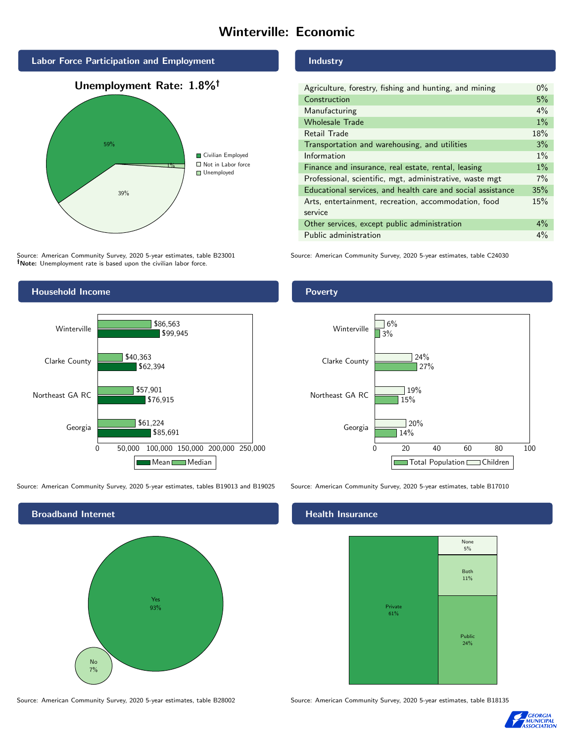# Winterville: Economic



Source: American Community Survey, 2020 5-year estimates, table B23001 Note: Unemployment rate is based upon the civilian labor force.

### Industry

| Agriculture, forestry, fishing and hunting, and mining      | $0\%$ |
|-------------------------------------------------------------|-------|
| Construction                                                | 5%    |
| Manufacturing                                               | 4%    |
| <b>Wholesale Trade</b>                                      | $1\%$ |
| Retail Trade                                                | 18%   |
| Transportation and warehousing, and utilities               | 3%    |
| Information                                                 | $1\%$ |
| Finance and insurance, real estate, rental, leasing         | $1\%$ |
| Professional, scientific, mgt, administrative, waste mgt    | 7%    |
| Educational services, and health care and social assistance | 35%   |
| Arts, entertainment, recreation, accommodation, food        | 15%   |
| service                                                     |       |
| Other services, except public administration                | $4\%$ |
| Public administration                                       | $4\%$ |

Source: American Community Survey, 2020 5-year estimates, table C24030



Source: American Community Survey, 2020 5-year estimates, tables B19013 and B19025 Source: American Community Survey, 2020 5-year estimates, table B17010



#### Poverty



## **Health Insurance**



Source: American Community Survey, 2020 5-year estimates, table B28002 Source: American Community Survey, 2020 5-year estimates, table B18135